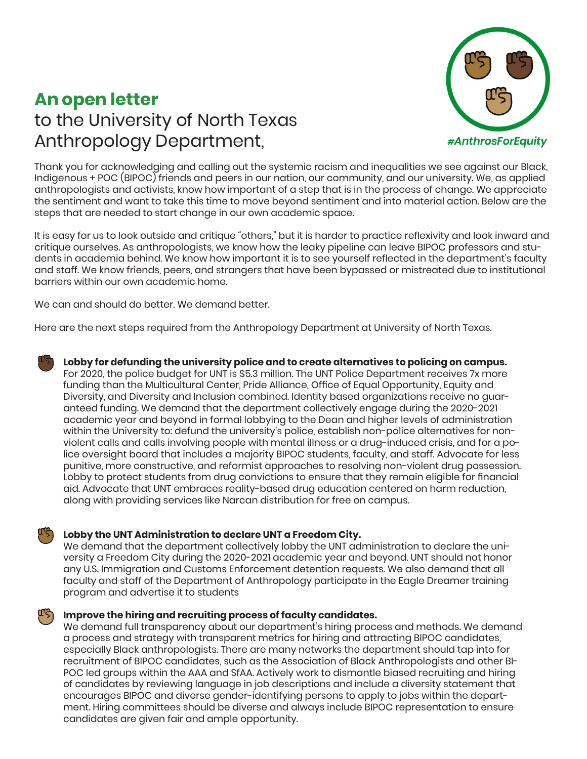# **An open letter** to the University of North Texas Anthropology Department,



Thank you for acknowledging and calling out the systemic racism and inequalities we see against our Black, Indigenous + POC (BIPOC) friends and peers in our nation, our community, and our university. We, as applied anthropologists and activists, know how important of a step that is in the process of change. We appreciate the sentiment and want to take this time to move beyond sentiment and into material action. Below are the steps that are needed to start change in our own academic space.

It is easy for us to look outside and critique "others," but it is harder to practice reflexivity and look inward and critique ourselves. As anthropologists, we know how the leaky pipeline can leave BIPOC professors and students in academia behind. We know how important it is to see yourself reflected in the department's faculty and staff. We know friends, peers, and strangers that have been bypassed or mistreated due to institutional barriers within our own academic home.

We can and should do better. We demand better.

Here are the next steps required from the Anthropology Department at University of North Texas.

**Lobby for defunding the university police and to create alternatives to policing on campus.**  For 2020, the police budget for UNT is \$5.3 million. The UNT Police Department receives 7x more funding than the Multicultural Center, Pride Alliance, Office of Equal Opportunity, Equity and Diversity, and Diversity and Inclusion combined. Identity based organizations receive no guaranteed funding. We demand that the department collectively engage during the 2020-2021 academic year and beyond in formal lobbying to the Dean and higher levels of administration within the University to: defund the university's police, establish non-police alternatives for nonviolent calls and calls involving people with mental illness or a drug-induced crisis, and for a police oversight board that includes a majority BIPOC students, faculty, and staff. Advocate for less punitive, more constructive, and reformist approaches to resolving non-violent drug possession. Lobby to protect students from drug convictions to ensure that they remain eligible for financial aid. Advocate that UNT embraces reality-based drug education centered on harm reduction, along with providing services like Narcan distribution for free on campus.

# **Lobby the UNT Administration to declare UNT a Freedom City.**

We demand that the department collectively lobby the UNT administration to declare the university a Freedom City during the 2020-2021 academic year and beyond. UNT should not honor any U.S. Immigration and Customs Enforcement detention requests. We also demand that all faculty and staff of the Department of Anthropology participate in the Eagle Dreamer training program and advertise it to students

# **Improve the hiring and recruiting process of faculty candidates.**

We demand full transparency about our department's hiring process and methods. We demand a process and strategy with transparent metrics for hiring and attracting BIPOC candidates, especially Black anthropologists. There are many networks the department should tap into for recruitment of BIPOC candidates, such as the Association of Black Anthropologists and other BI-POC led groups within the AAA and SfAA. Actively work to dismantle biased recruiting and hiring of candidates by reviewing language in job descriptions and include a diversity statement that encourages BIPOC and diverse gender-identifying persons to apply to jobs within the department. Hiring committees should be diverse and always include BIPOC representation to ensure candidates are given fair and ample opportunity.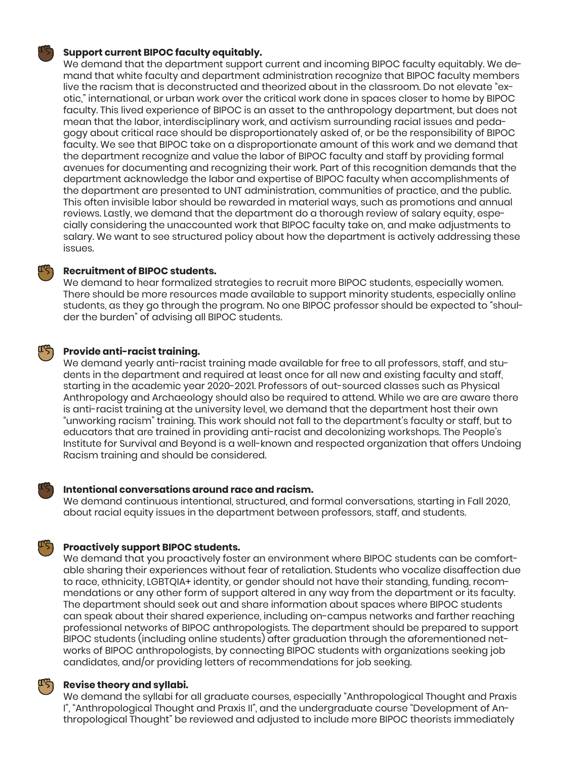### **Support current BIPOC faculty equitably.**

We demand that the department support current and incoming BIPOC faculty equitably. We demand that white faculty and department administration recognize that BIPOC faculty members live the racism that is deconstructed and theorized about in the classroom. Do not elevate "exotic," international, or urban work over the critical work done in spaces closer to home by BIPOC faculty. This lived experience of BIPOC is an asset to the anthropology department, but does not mean that the labor, interdisciplinary work, and activism surrounding racial issues and pedagogy about critical race should be disproportionately asked of, or be the responsibility of BIPOC faculty. We see that BIPOC take on a disproportionate amount of this work and we demand that the department recognize and value the labor of BIPOC faculty and staff by providing formal avenues for documenting and recognizing their work. Part of this recognition demands that the department acknowledge the labor and expertise of BIPOC faculty when accomplishments of the department are presented to UNT administration, communities of practice, and the public. This often invisible labor should be rewarded in material ways, such as promotions and annual reviews. Lastly, we demand that the department do a thorough review of salary equity, especially considering the unaccounted work that BIPOC faculty take on, and make adjustments to salary. We want to see structured policy about how the department is actively addressing these issues.

# **Recruitment of BIPOC students.**

We demand to hear formalized strategies to recruit more BIPOC students, especially women. There should be more resources made available to support minority students, especially online students, as they go through the program. No one BIPOC professor should be expected to "shoulder the burden" of advising all BIPOC students.

# **Provide anti-racist training.**

We demand yearly anti-racist training made available for free to all professors, staff, and students in the department and required at least once for all new and existing faculty and staff, starting in the academic year 2020-2021. Professors of out-sourced classes such as Physical Anthropology and Archaeology should also be required to attend. While we are are aware there is anti-racist training at the university level, we demand that the department host their own "unworking racism" training. This work should not fall to the department's faculty or staff, but to educators that are trained in providing anti-racist and decolonizing workshops. The People's Institute for Survival and Beyond is a well-known and respected organization that offers Undoing Racism training and should be considered.

## **Intentional conversations around race and racism.**

We demand continuous intentional, structured, and formal conversations, starting in Fall 2020, about racial equity issues in the department between professors, staff, and students.

### **Proactively support BIPOC students.**

We demand that you proactively foster an environment where BIPOC students can be comfortable sharing their experiences without fear of retaliation. Students who vocalize disaffection due to race, ethnicity, LGBTQIA+ identity, or gender should not have their standing, funding, recommendations or any other form of support altered in any way from the department or its faculty. The department should seek out and share information about spaces where BIPOC students can speak about their shared experience, including on-campus networks and farther reaching professional networks of BIPOC anthropologists. The department should be prepared to support BIPOC students (including online students) after graduation through the aforementioned networks of BIPOC anthropologists, by connecting BIPOC students with organizations seeking job candidates, and/or providing letters of recommendations for job seeking.

#### ውረጋ **Revise theory and syllabi.**

We demand the syllabi for all graduate courses, especially "Anthropological Thought and Praxis I", "Anthropological Thought and Praxis II", and the undergraduate course "Development of Anthropological Thought" be reviewed and adjusted to include more BIPOC theorists immediately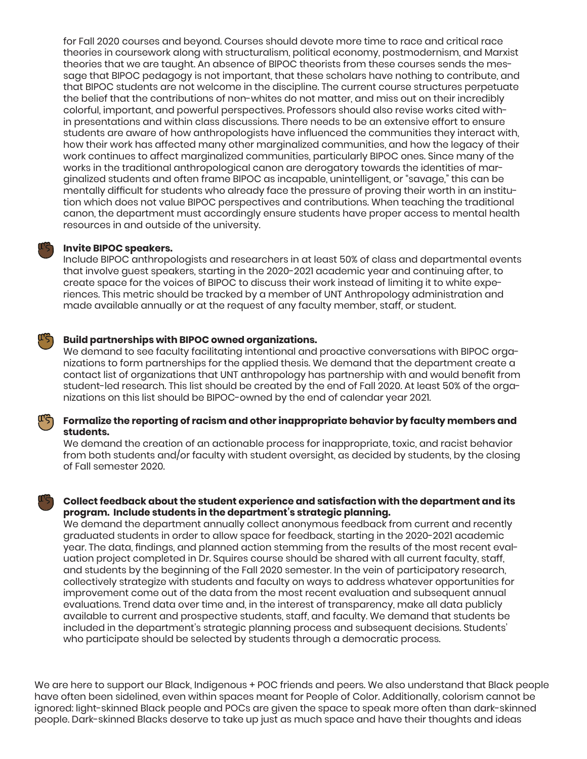for Fall 2020 courses and beyond. Courses should devote more time to race and critical race theories in coursework along with structuralism, political economy, postmodernism, and Marxist theories that we are taught. An absence of BlPOC theorists from these courses sends the message that BIPOC pedagogy is not important, that these scholars have nothing to contribute, and that BIPOC students are not welcome in the discipline. The current course structures perpetuate the belief that the contributions of non-whites do not matter, and miss out on their incredibly colorful, important, and powerful perspectives. Professors should also revise works cited within presentations and within class discussions. There needs to be an extensive effort to ensure students are aware of how anthropologists have influenced the communities they interact with, how their work has affected many other marginalized communities, and how the legacy of their work continues to affect marginalized communities, particularly BIPOC ones. Since many of the works in the traditional anthropological canon are derogatory towards the identities of marginalized students and often frame BIPOC as incapable, unintelligent, or "savage," this can be mentally difficult for students who already face the pressure of proving their worth in an institution which does not value BIPOC perspectives and contributions. When teaching the traditional canon, the department must accordingly ensure students have proper access to mental health resources in and outside of the university.

## **Invite BIPOC speakers.**

Include BIPOC anthropologists and researchers in at least 50% of class and departmental events that involve guest speakers, starting in the 2020-2021 academic year and continuing after, to create space for the voices of BIPOC to discuss their work instead of limiting it to white experiences. This metric should be tracked by a member of UNT Anthropology administration and made available annually or at the request of any faculty member, staff, or student.

#### ╙ᡃᠫ **Build partnerships with BIPOC owned organizations.**

We demand to see faculty facilitating intentional and proactive conversations with BIPOC organizations to form partnerships for the applied thesis. We demand that the department create a contact list of organizations that UNT anthropology has partnership with and would benefit from student-led research. This list should be created by the end of Fall 2020. At least 50% of the organizations on this list should be BIPOC-owned by the end of calendar year 2021.

#### لرجم **Formalize the reporting of racism and other inappropriate behavior by faculty members and students.**

We demand the creation of an actionable process for inappropriate, toxic, and racist behavior from both students and/or faculty with student oversight, as decided by students, by the closing of Fall semester 2020.

# **Collect feedback about the student experience and satisfaction with the department and its program. Include students in the department's strategic planning.**

We demand the department annually collect anonymous feedback from current and recently graduated students in order to allow space for feedback, starting in the 2020-2021 academic year. The data, findings, and planned action stemming from the results of the most recent evaluation project completed in Dr. Squires course should be shared with all current faculty, staff, and students by the beginning of the Fall 2020 semester. In the vein of participatory research, collectively strategize with students and faculty on ways to address whatever opportunities for improvement come out of the data from the most recent evaluation and subsequent annual evaluations. Trend data over time and, in the interest of transparency, make all data publicly available to current and prospective students, staff, and faculty. We demand that students be included in the department's strategic planning process and subsequent decisions. Students' who participate should be selected by students through a democratic process.

We are here to support our Black, Indigenous + POC friends and peers. We also understand that Black people have often been sidelined, even within spaces meant for People of Color. Additionally, colorism cannot be ignored: light-skinned Black people and POCs are given the space to speak more often than dark-skinned people. Dark-skinned Blacks deserve to take up just as much space and have their thoughts and ideas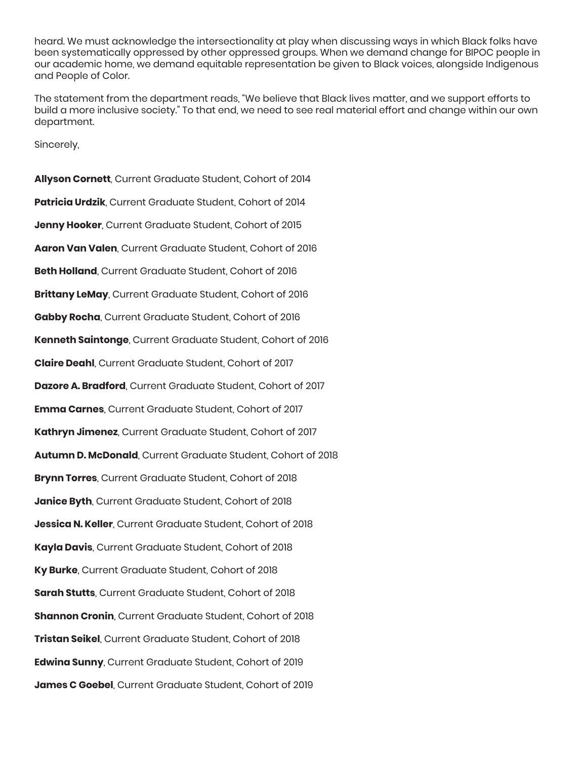heard. We must acknowledge the intersectionality at play when discussing ways in which Black folks have been systematically oppressed by other oppressed groups. When we demand change for BIPOC people in our academic home, we demand equitable representation be given to Black voices, alongside Indigenous and People of Color.

The statement from the department reads, "We believe that Black lives matter, and we support efforts to build a more inclusive society." To that end, we need to see real material effort and change within our own department.

Sincerely,

**Allyson Cornett**, Current Graduate Student, Cohort of 2014 **Patricia Urdzik**, Current Graduate Student, Cohort of 2014 **Jenny Hooker**, Current Graduate Student, Cohort of 2015 **Aaron Van Valen**, Current Graduate Student, Cohort of 2016 **Beth Holland**, Current Graduate Student, Cohort of 2016 **Brittany LeMay**, Current Graduate Student, Cohort of 2016 **Gabby Rocha**, Current Graduate Student, Cohort of 2016 **Kenneth Saintonge**, Current Graduate Student, Cohort of 2016 **Claire Deahl**, Current Graduate Student, Cohort of 2017 **Dazore A. Bradford**, Current Graduate Student, Cohort of 2017 **Emma Carnes**, Current Graduate Student, Cohort of 2017 **Kathryn Jimenez**, Current Graduate Student, Cohort of 2017 **Autumn D. McDonald**, Current Graduate Student, Cohort of 2018 **Brynn Torres**, Current Graduate Student, Cohort of 2018 **Janice Byth**, Current Graduate Student, Cohort of 2018 **Jessica N. Keller**, Current Graduate Student, Cohort of 2018 **Kayla Davis**, Current Graduate Student, Cohort of 2018 **Ky Burke**, Current Graduate Student, Cohort of 2018 **Sarah Stutts**, Current Graduate Student, Cohort of 2018 **Shannon Cronin**, Current Graduate Student, Cohort of 2018 **Tristan Seikel**, Current Graduate Student, Cohort of 2018 **Edwina Sunny**, Current Graduate Student, Cohort of 2019 **James C Goebel**, Current Graduate Student, Cohort of 2019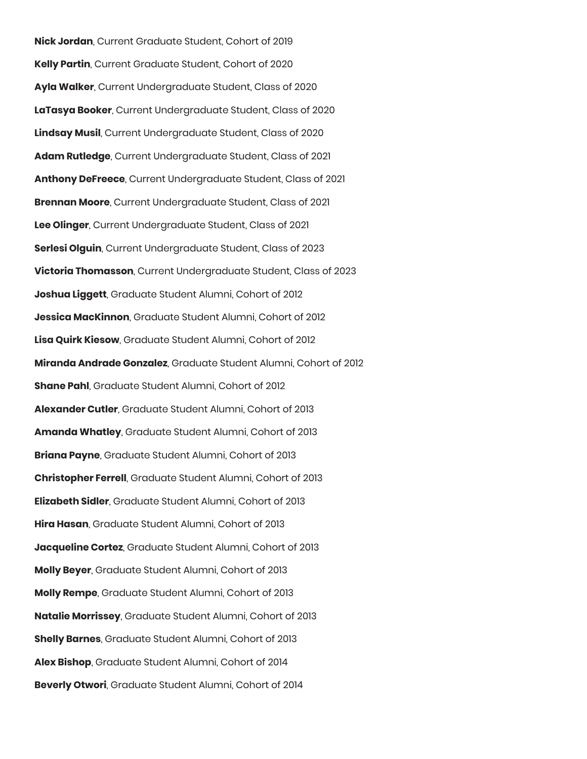**Nick Jordan**, Current Graduate Student, Cohort of 2019 **Kelly Partin**, Current Graduate Student, Cohort of 2020 **Ayla Walker**, Current Undergraduate Student, Class of 2020 **LaTasya Booker**, Current Undergraduate Student, Class of 2020 **Lindsay Musil**, Current Undergraduate Student, Class of 2020 **Adam Rutledge**, Current Undergraduate Student, Class of 2021 **Anthony DeFreece**, Current Undergraduate Student, Class of 2021 **Brennan Moore**, Current Undergraduate Student, Class of 2021 **Lee Olinger**, Current Undergraduate Student, Class of 2021 **Serlesi Olguin**, Current Undergraduate Student, Class of 2023 **Victoria Thomasson**, Current Undergraduate Student, Class of 2023 **Joshua Liggett**, Graduate Student Alumni, Cohort of 2012 **Jessica MacKinnon**, Graduate Student Alumni, Cohort of 2012 **Lisa Quirk Kiesow**, Graduate Student Alumni, Cohort of 2012 **Miranda Andrade Gonzalez**, Graduate Student Alumni, Cohort of 2012 **Shane Pahl**, Graduate Student Alumni, Cohort of 2012 **Alexander Cutler**, Graduate Student Alumni, Cohort of 2013 **Amanda Whatley**, Graduate Student Alumni, Cohort of 2013 **Briana Payne**, Graduate Student Alumni, Cohort of 2013 **Christopher Ferrell**, Graduate Student Alumni, Cohort of 2013 **Elizabeth Sidler**, Graduate Student Alumni, Cohort of 2013 **Hira Hasan**, Graduate Student Alumni, Cohort of 2013 **Jacqueline Cortez**, Graduate Student Alumni, Cohort of 2013 **Molly Beyer**, Graduate Student Alumni, Cohort of 2013 **Molly Rempe**, Graduate Student Alumni, Cohort of 2013 **Natalie Morrissey**, Graduate Student Alumni, Cohort of 2013 **Shelly Barnes**, Graduate Student Alumni, Cohort of 2013 **Alex Bishop**, Graduate Student Alumni, Cohort of 2014 **Beverly Otwori**, Graduate Student Alumni, Cohort of 2014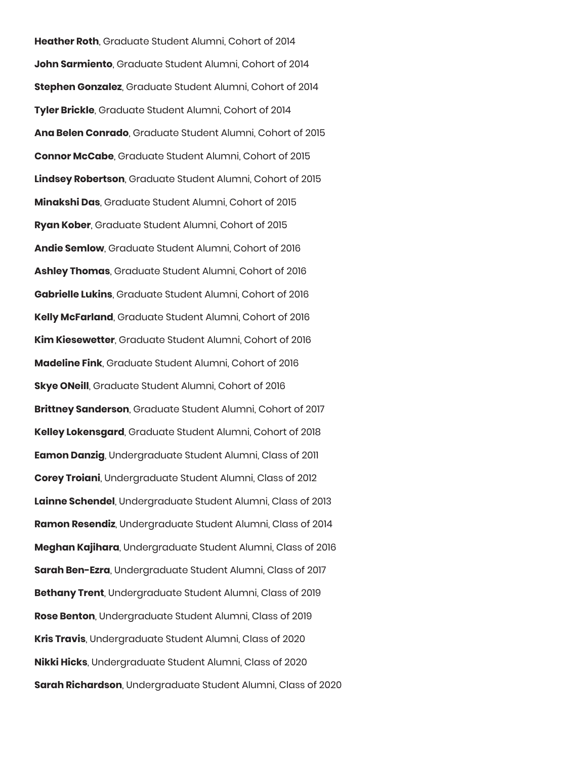**Heather Roth**, Graduate Student Alumni, Cohort of 2014 **John Sarmiento**, Graduate Student Alumni, Cohort of 2014 **Stephen Gonzalez**, Graduate Student Alumni, Cohort of 2014 **Tyler Brickle**, Graduate Student Alumni, Cohort of 2014 **Ana Belen Conrado**, Graduate Student Alumni, Cohort of 2015 **Connor McCabe**, Graduate Student Alumni, Cohort of 2015 **Lindsey Robertson**, Graduate Student Alumni, Cohort of 2015 **Minakshi Das**, Graduate Student Alumni, Cohort of 2015 **Ryan Kober**, Graduate Student Alumni, Cohort of 2015 **Andie Semlow**, Graduate Student Alumni, Cohort of 2016 **Ashley Thomas**, Graduate Student Alumni, Cohort of 2016 **Gabrielle Lukins**, Graduate Student Alumni, Cohort of 2016 **Kelly McFarland**, Graduate Student Alumni, Cohort of 2016 **Kim Kiesewetter**, Graduate Student Alumni, Cohort of 2016 **Madeline Fink**, Graduate Student Alumni, Cohort of 2016 **Skye ONeill**, Graduate Student Alumni, Cohort of 2016 **Brittney Sanderson**, Graduate Student Alumni, Cohort of 2017 **Kelley Lokensgard**, Graduate Student Alumni, Cohort of 2018 **Eamon Danzig**, Undergraduate Student Alumni, Class of 2011 **Corey Troiani**, Undergraduate Student Alumni, Class of 2012 **Lainne Schendel**, Undergraduate Student Alumni, Class of 2013 **Ramon Resendiz**, Undergraduate Student Alumni, Class of 2014 **Meghan Kajihara**, Undergraduate Student Alumni, Class of 2016 **Sarah Ben-Ezra**, Undergraduate Student Alumni, Class of 2017 **Bethany Trent**, Undergraduate Student Alumni, Class of 2019 **Rose Benton**, Undergraduate Student Alumni, Class of 2019 **Kris Travis**, Undergraduate Student Alumni, Class of 2020 **Nikki Hicks**, Undergraduate Student Alumni, Class of 2020 **Sarah Richardson**, Undergraduate Student Alumni, Class of 2020